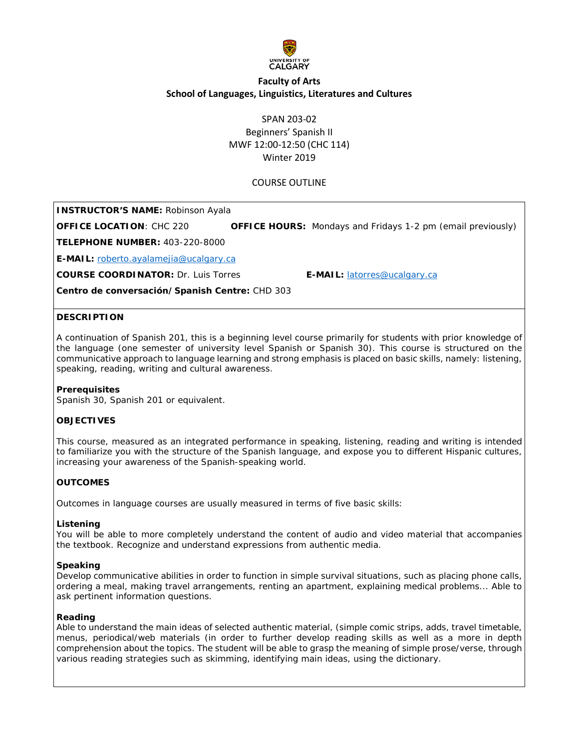

SPAN 203-02 Beginners' Spanish II MWF 12:00-12:50 (CHC 114) Winter 2019

# COURSE OUTLINE

**INSTRUCTOR'S NAME:** Robinson Ayala

**OFFICE LOCATION**: CHC 220 **OFFICE HOURS:** Mondays and Fridays 1-2 pm (email previously)

**TELEPHONE NUMBER:** 403-220-8000

**E-MAIL:** [roberto.ayalamejia@ucalgary.ca](mailto:roberto.ayalamejia@ucalgary.ca)

**COURSE COORDINATOR:** Dr. Luis Torres **E-MAIL:** [latorres@ucalgary.ca](mailto:latorres@ucalgary.ca)

**Centro de conversación/Spanish Centre:** CHD 303

#### **DESCRIPTION**

A continuation of Spanish 201, this is a beginning level course primarily for students with prior knowledge of the language (one semester of university level Spanish or Spanish 30). This course is structured on the communicative approach to language learning and strong emphasis is placed on basic skills, namely: listening, speaking, reading, writing and cultural awareness.

#### **Prerequisites**

Spanish 30, Spanish 201 or equivalent.

### **OBJECTIVES**

This course, measured as an integrated performance in speaking, listening, reading and writing is intended to familiarize you with the structure of the Spanish language, and expose you to different Hispanic cultures, increasing your awareness of the Spanish-speaking world.

### **OUTCOMES**

Outcomes in language courses are usually measured in terms of five basic skills:

### **Listening**

You will be able to more completely understand the content of audio and video material that accompanies the textbook. Recognize and understand expressions from authentic media.

#### **Speaking**

Develop communicative abilities in order to function in simple survival situations, such as placing phone calls, ordering a meal, making travel arrangements, renting an apartment, explaining medical problems... Able to ask pertinent information questions.

#### **Reading**

Able to understand the main ideas of selected authentic material, (simple comic strips, adds, travel timetable, menus, periodical/web materials (in order to further develop reading skills as well as a more in depth comprehension about the topics. The student will be able to grasp the meaning of simple prose/verse, through various reading strategies such as skimming, identifying main ideas, using the dictionary.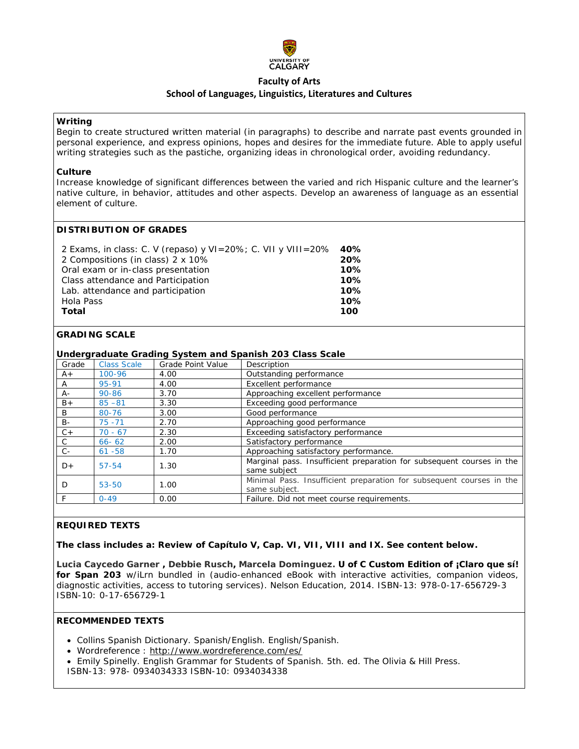

#### **Writing**

Begin to create structured written material (in paragraphs) to describe and narrate past events grounded in personal experience, and express opinions, hopes and desires for the immediate future. Able to apply useful writing strategies such as the pastiche, organizing ideas in chronological order, avoiding redundancy.

#### **Culture**

Increase knowledge of significant differences between the varied and rich Hispanic culture and the learner's native culture, in behavior, attitudes and other aspects. Develop an awareness of language as an essential element of culture.

### **DISTRIBUTION OF GRADES**

| 2 Exams, in class: C. V (repaso) y VI=20%; C. VII y VIII=20% | 40% |
|--------------------------------------------------------------|-----|
| 2 Compositions (in class) 2 x 10%                            | 20% |
| Oral exam or in-class presentation                           | 10% |
| Class attendance and Participation                           | 10% |
| Lab. attendance and participation                            | 10% |
| Hola Pass                                                    | 10% |
| Total                                                        | 100 |

### **GRADING SCALE**

### **Undergraduate Grading System and Spanish 203 Class Scale**

| Grade        | <b>Class Scale</b> | <b>Grade Point Value</b> | Description                                                                           |  |
|--------------|--------------------|--------------------------|---------------------------------------------------------------------------------------|--|
| $A+$         | $100 - 96$         | 4.00                     | Outstanding performance                                                               |  |
| A            | 95-91              | 4.00                     | Excellent performance                                                                 |  |
| A-           | 90-86              | 3.70                     | Approaching excellent performance                                                     |  |
| $B+$         | $85 - 81$          | 3.30                     | Exceeding good performance                                                            |  |
| B            | 80-76              | 3.00                     | Good performance                                                                      |  |
| $B -$        | $75 - 71$          | 2.70                     | Approaching good performance                                                          |  |
| $C +$        | $70 - 67$          | 2.30                     | Exceeding satisfactory performance                                                    |  |
| $\mathsf{C}$ | $66 - 62$          | 2.00                     | Satisfactory performance                                                              |  |
| $C -$        | $61 - 58$          | 1.70                     | Approaching satisfactory performance.                                                 |  |
| $D+$         | 57-54              | 1.30                     | Marginal pass. Insufficient preparation for subsequent courses in the<br>same subject |  |
| D            | 53-50              | 1.00                     | Minimal Pass. Insufficient preparation for subsequent courses in the<br>same subject. |  |
| F            | $0 - 49$           | 0.00                     | Failure. Did not meet course requirements.                                            |  |

### **REQUIRED TEXTS**

**The class includes a: Review of Capítulo V, Cap. VI, VII, VIII and IX. See content below.**

**Lucia Caycedo Garner , Debbie Rusch, Marcela Dominguez. U of C Custom Edition of** *¡Claro que sí!* **for Span 203** w/iLrn bundled in (audio-enhanced eBook with interactive activities, companion videos, diagnostic activities, access to tutoring services). Nelson Education, 2014. ISBN-13: 978-0-17-656729-3 ISBN-10: 0-17-656729-1

#### **RECOMMENDED TEXTS**

- *Collins Spanish Dictionary*. Spanish/English. English/Spanish.
- Wordreference : <http://www.wordreference.com/es/>
- Emily Spinelly. *English Grammar for Students of Spanish*. 5th. ed. The Olivia & Hill Press.
- ISBN-13: 978- 0934034333 ISBN-10: 0934034338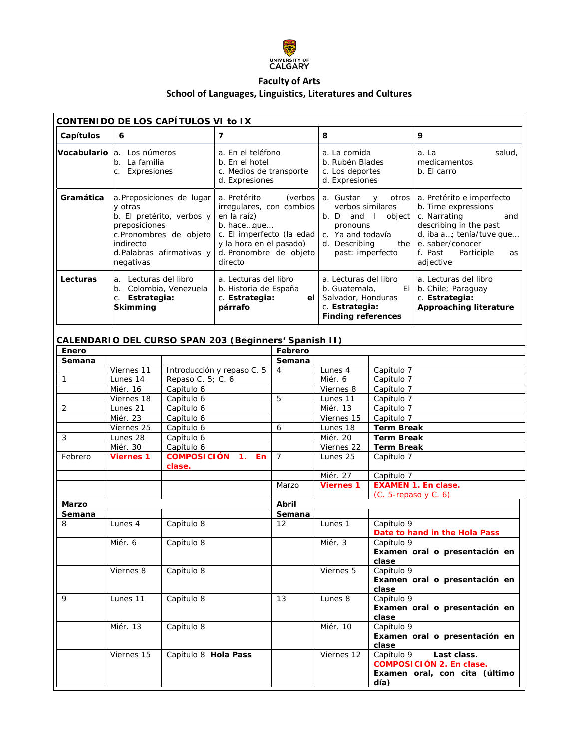

|              |                                                                                                                                                                    | CONTENIDO DE LOS CAPÍTULOS VI to IX |                                                                                                                                                                               |                |                                                                                                                                                      |                                                      |                                                                                                                                                                                               |  |
|--------------|--------------------------------------------------------------------------------------------------------------------------------------------------------------------|-------------------------------------|-------------------------------------------------------------------------------------------------------------------------------------------------------------------------------|----------------|------------------------------------------------------------------------------------------------------------------------------------------------------|------------------------------------------------------|-----------------------------------------------------------------------------------------------------------------------------------------------------------------------------------------------|--|
| Capítulos    | 6                                                                                                                                                                  |                                     | $\overline{7}$                                                                                                                                                                |                | 8                                                                                                                                                    |                                                      | 9                                                                                                                                                                                             |  |
| Vocabulario  | a. Los números<br>b. La familia<br>c. Expresiones                                                                                                                  |                                     | a. En el teléfono<br>b. En el hotel<br>c. Medios de transporte<br>d. Expresiones                                                                                              |                | a. La comida<br>b. Rubén Blades<br>c. Los deportes<br>d. Expresiones                                                                                 |                                                      | a. La<br>salud,<br>medicamentos<br>b. El carro                                                                                                                                                |  |
| Gramática    | a. Preposiciones de lugar<br>y otras<br>b. El pretérito, verbos y<br>preposiciones<br>c.Pronombres de objeto<br>indirecto<br>d.Palabras afirmativas y<br>negativas |                                     | a. Pretérito<br>(verbos<br>irregulares, con cambios<br>en la raíz)<br>b. haceque<br>c. El imperfecto (la edad<br>y la hora en el pasado)<br>d. Pronombre de objeto<br>directo |                | a. Gustar<br>otros<br>y<br>verbos similares<br>$b. D$ and $l$<br>object<br>pronouns<br>c. Ya and todavía<br>d. Describing<br>the<br>past: imperfecto |                                                      | a. Pretérito e imperfecto<br>b. Time expressions<br>c. Narrating<br>and<br>describing in the past<br>d. iba a; tenía/tuve que<br>e. saber/conocer<br>f. Past<br>Participle<br>as<br>adjective |  |
| Lecturas     | a. Lecturas del libro<br>b. Colombia, Venezuela<br>c. Estrategia:<br>Skimming                                                                                      |                                     | a. Lecturas del libro<br>b. Historia de España<br>c. Estrategia:<br>el l<br>párrafo                                                                                           |                | a. Lecturas del libro<br>b. Guatemala,<br>EL<br>Salvador, Honduras<br>c. Estrategia:<br><b>Finding references</b>                                    |                                                      | a. Lecturas del libro<br>b. Chile; Paraguay<br>c. Estrategia:<br><b>Approaching literature</b>                                                                                                |  |
|              |                                                                                                                                                                    |                                     | CALENDARIO DEL CURSO SPAN 203 (Beginners' Spanish II)                                                                                                                         |                |                                                                                                                                                      |                                                      |                                                                                                                                                                                               |  |
| Enero        |                                                                                                                                                                    |                                     |                                                                                                                                                                               | Febrero        |                                                                                                                                                      |                                                      |                                                                                                                                                                                               |  |
| Semana       |                                                                                                                                                                    |                                     |                                                                                                                                                                               | Semana         |                                                                                                                                                      |                                                      |                                                                                                                                                                                               |  |
|              | Viernes 11                                                                                                                                                         |                                     | Introducción y repaso C. 5                                                                                                                                                    | 4              | Lunes 4                                                                                                                                              | Capítulo 7                                           |                                                                                                                                                                                               |  |
| 1            | Lunes 14                                                                                                                                                           | Repaso C. 5; C. 6                   |                                                                                                                                                                               |                | Miér. 6                                                                                                                                              | Capítulo 7                                           |                                                                                                                                                                                               |  |
|              | Miér. 16                                                                                                                                                           | Capítulo 6                          |                                                                                                                                                                               |                | Viernes 8                                                                                                                                            | Capítulo 7                                           |                                                                                                                                                                                               |  |
|              | Viernes 18                                                                                                                                                         | Capítulo 6                          |                                                                                                                                                                               | 5              | Lunes 11                                                                                                                                             | Capítulo 7                                           |                                                                                                                                                                                               |  |
| 2            | Lunes 21                                                                                                                                                           | Capítulo 6                          |                                                                                                                                                                               |                | Miér. 13                                                                                                                                             | Capítulo 7                                           |                                                                                                                                                                                               |  |
|              | Miér. 23                                                                                                                                                           | Capítulo 6                          |                                                                                                                                                                               |                | Viernes 15                                                                                                                                           | Capítulo 7                                           |                                                                                                                                                                                               |  |
|              | Viernes 25                                                                                                                                                         | Capítulo 6                          |                                                                                                                                                                               | 6              | Lunes 18                                                                                                                                             | <b>Term Break</b>                                    |                                                                                                                                                                                               |  |
| 3            | Lunes 28                                                                                                                                                           | Capítulo 6                          |                                                                                                                                                                               |                | Miér. 20                                                                                                                                             | <b>Term Break</b>                                    |                                                                                                                                                                                               |  |
|              | Miér. 30                                                                                                                                                           | Capítulo 6                          |                                                                                                                                                                               |                | Viernes 22                                                                                                                                           | <b>Term Break</b>                                    |                                                                                                                                                                                               |  |
| Febrero      | <b>Viernes 1</b>                                                                                                                                                   | <b>COMPOSICIÓN</b><br>clase.        | 1.<br>En                                                                                                                                                                      | $\overline{7}$ | Lunes <sub>25</sub>                                                                                                                                  | Capítulo 7                                           |                                                                                                                                                                                               |  |
|              |                                                                                                                                                                    |                                     |                                                                                                                                                                               |                | Miér. 27                                                                                                                                             | Capítulo 7                                           |                                                                                                                                                                                               |  |
|              |                                                                                                                                                                    |                                     |                                                                                                                                                                               | Marzo          | <b>Viernes 1</b>                                                                                                                                     | (C. 5-repaso y C. 6)                                 | <b>EXAMEN 1. En clase.</b>                                                                                                                                                                    |  |
| <b>Marzo</b> |                                                                                                                                                                    |                                     |                                                                                                                                                                               | <b>Abril</b>   |                                                                                                                                                      |                                                      |                                                                                                                                                                                               |  |
| Semana       |                                                                                                                                                                    |                                     |                                                                                                                                                                               | Semana         |                                                                                                                                                      |                                                      |                                                                                                                                                                                               |  |
| 8            | Lunes 4                                                                                                                                                            | Capítulo 8                          |                                                                                                                                                                               | 12             | Lunes 1                                                                                                                                              | Capítulo 9                                           | Date to hand in the Hola Pass                                                                                                                                                                 |  |
|              | Miér. 6                                                                                                                                                            | Capítulo 8                          |                                                                                                                                                                               |                | Miér. 3                                                                                                                                              | Capítulo 9<br>Examen oral o presentación en<br>clase |                                                                                                                                                                                               |  |
|              | Viernes 8                                                                                                                                                          | Capítulo 8                          |                                                                                                                                                                               |                | Viernes 5                                                                                                                                            | Capítulo 9<br>Examen oral o presentación en<br>clase |                                                                                                                                                                                               |  |
| 9            | Lunes 11                                                                                                                                                           | Capítulo 8                          |                                                                                                                                                                               | 13             | Lunes 8                                                                                                                                              | Capítulo 9<br>Examen oral o presentación en<br>clase |                                                                                                                                                                                               |  |
|              | Miér. 13                                                                                                                                                           | Capítulo 8                          |                                                                                                                                                                               |                | Miér. 10                                                                                                                                             | Capítulo 9<br>clase                                  | Examen oral o presentación en                                                                                                                                                                 |  |
|              | Viernes 15                                                                                                                                                         | Capítulo 8 Hola Pass                |                                                                                                                                                                               |                | Viernes 12                                                                                                                                           | Capítulo 9<br>día)                                   | Last class.<br><b>COMPOSICIÓN 2. En clase.</b><br>Examen oral, con cita (último                                                                                                               |  |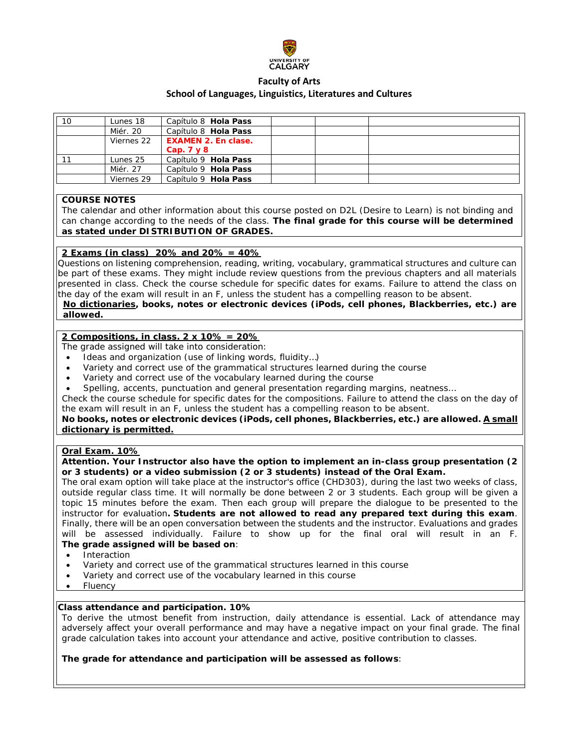

| 10 | Lunes 18   | Capítulo 8 Hola Pass        |
|----|------------|-----------------------------|
|    | Miér. 20   | Capítulo 8 Hola Pass        |
|    | Viernes 22 | <b>EXAMEN 2. En clase.</b>  |
|    |            | Cap. $7 \vee 8$             |
|    | Lunes 25   | Capítulo 9 Hola Pass        |
|    | Miér. 27   | Capítulo 9 Hola Pass        |
|    | Viernes 29 | Capítulo 9 <b>Hola Pass</b> |

### **COURSE NOTES**

The calendar and other information about this course posted on D2L (Desire to Learn) is not binding and can change according to the needs of the class. **The final grade for this course will be determined as stated under DISTRIBUTION OF GRADES.**

### **2 Exams (in class) 20% and 20% = 40%**

Questions on listening comprehension, reading, writing, vocabulary, grammatical structures and culture can be part of these exams. They might include review questions from the previous chapters and all materials presented in class. Check the course schedule for specific dates for exams. Failure to attend the class on the day of the exam will result in an F, unless the student has a compelling reason to be absent.

**No dictionaries, books, notes or electronic devices (iPods, cell phones, Blackberries, etc.) are allowed.**

### **2 Compositions, in class. 2 x 10% = 20%**

The grade assigned will take into consideration:

- Ideas and organization (use of linking words, fluidity…)
- Variety and correct use of the grammatical structures learned during the course
- Variety and correct use of the vocabulary learned during the course
- Spelling, accents, punctuation and general presentation regarding margins, neatness…

Check the course schedule for specific dates for the compositions. Failure to attend the class on the day of the exam will result in an F, unless the student has a compelling reason to be absent.

**No books, notes or electronic devices (iPods, cell phones, Blackberries, etc.) are allowed. A small dictionary is permitted.**

### **Oral Exam. 10%**

**Attention.** *Your Instructor also have the option to implement an in-class group presentation (2 or 3 students) or a video submission (2 or 3 students) instead of the Oral Exam.*

The oral exam option will take place at the instructor's office (CHD303), during the last two weeks of class, outside regular class time. It will normally be done between 2 or 3 students. Each group will be given a topic 15 minutes before the exam. Then each group will prepare the dialogue to be presented to the instructor for evaluation**. Students are not allowed to read any prepared text during this exam**. Finally, there will be an open conversation between the students and the instructor. Evaluations and grades will be assessed individually. Failure to show up for the final oral will result in an F.

# **The grade assigned will be based on**:

- Interaction
- Variety and correct use of the grammatical structures learned in this course
- Variety and correct use of the vocabulary learned in this course
- **Fluency**

### **Class attendance and participation. 10%**

To derive the utmost benefit from instruction, daily attendance is essential. Lack of attendance may adversely affect your overall performance and may have a negative impact on your final grade. The final grade calculation takes into account your attendance and active, positive contribution to classes.

#### **The grade for attendance and participation will be assessed as follows**: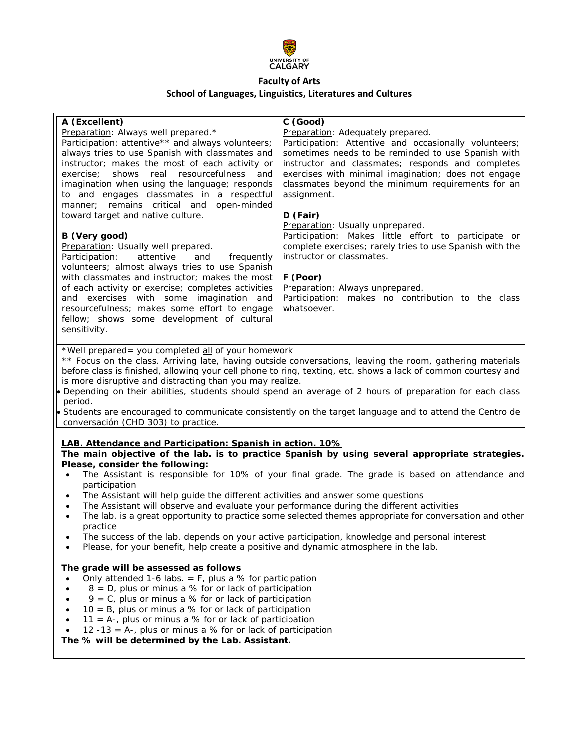

| A (Excellent)                                                                                                                                                                                       | C (Good)                                                                                                      |  |  |  |
|-----------------------------------------------------------------------------------------------------------------------------------------------------------------------------------------------------|---------------------------------------------------------------------------------------------------------------|--|--|--|
| Preparation: Always well prepared.*                                                                                                                                                                 | Preparation: Adequately prepared.                                                                             |  |  |  |
|                                                                                                                                                                                                     |                                                                                                               |  |  |  |
| Participation: attentive** and always volunteers;                                                                                                                                                   | Participation: Attentive and occasionally volunteers;                                                         |  |  |  |
| always tries to use Spanish with classmates and                                                                                                                                                     | sometimes needs to be reminded to use Spanish with                                                            |  |  |  |
| instructor; makes the most of each activity or                                                                                                                                                      | instructor and classmates; responds and completes                                                             |  |  |  |
| real resourcefulness<br>exercise:<br>shows<br>and                                                                                                                                                   | exercises with minimal imagination; does not engage                                                           |  |  |  |
| imagination when using the language; responds                                                                                                                                                       | classmates beyond the minimum requirements for an                                                             |  |  |  |
| to and engages classmates in a respectful                                                                                                                                                           | assignment.                                                                                                   |  |  |  |
| manner; remains critical and open-minded                                                                                                                                                            |                                                                                                               |  |  |  |
|                                                                                                                                                                                                     | D (Fair)                                                                                                      |  |  |  |
| toward target and native culture.                                                                                                                                                                   |                                                                                                               |  |  |  |
|                                                                                                                                                                                                     | Preparation: Usually unprepared.                                                                              |  |  |  |
| B (Very good)                                                                                                                                                                                       | Participation: Makes little effort to participate or                                                          |  |  |  |
| Preparation: Usually well prepared.                                                                                                                                                                 | complete exercises; rarely tries to use Spanish with the                                                      |  |  |  |
| Participation:<br>attentive<br>frequently<br>and                                                                                                                                                    | instructor or classmates.                                                                                     |  |  |  |
| volunteers; almost always tries to use Spanish                                                                                                                                                      |                                                                                                               |  |  |  |
| with classmates and instructor; makes the most                                                                                                                                                      | F (Poor)                                                                                                      |  |  |  |
| of each activity or exercise; completes activities                                                                                                                                                  | Preparation: Always unprepared.                                                                               |  |  |  |
| and exercises with some imagination and                                                                                                                                                             | Participation: makes no contribution to the class                                                             |  |  |  |
|                                                                                                                                                                                                     |                                                                                                               |  |  |  |
| resourcefulness; makes some effort to engage                                                                                                                                                        | whatsoever.                                                                                                   |  |  |  |
| fellow; shows some development of cultural                                                                                                                                                          |                                                                                                               |  |  |  |
| sensitivity.                                                                                                                                                                                        |                                                                                                               |  |  |  |
|                                                                                                                                                                                                     |                                                                                                               |  |  |  |
| *Well prepared= you completed all of your homework                                                                                                                                                  |                                                                                                               |  |  |  |
|                                                                                                                                                                                                     | ** Focus on the class. Arriving late, having outside conversations, leaving the room, gathering materials     |  |  |  |
|                                                                                                                                                                                                     | before class is finished, allowing your cell phone to ring, texting, etc. shows a lack of common courtesy and |  |  |  |
| is more disruptive and distracting than you may realize.                                                                                                                                            |                                                                                                               |  |  |  |
|                                                                                                                                                                                                     | • Depending on their abilities, students should spend an average of 2 hours of preparation for each class     |  |  |  |
|                                                                                                                                                                                                     |                                                                                                               |  |  |  |
| period.                                                                                                                                                                                             |                                                                                                               |  |  |  |
|                                                                                                                                                                                                     | Students are encouraged to communicate consistently on the target language and to attend the Centro de        |  |  |  |
| conversación (CHD 303) to practice.                                                                                                                                                                 |                                                                                                               |  |  |  |
|                                                                                                                                                                                                     |                                                                                                               |  |  |  |
| LAB. Attendance and Participation: Spanish in action. 10%                                                                                                                                           |                                                                                                               |  |  |  |
|                                                                                                                                                                                                     | The main objective of the lab. is to practice Spanish by using several appropriate strategies.                |  |  |  |
| Please, consider the following:                                                                                                                                                                     |                                                                                                               |  |  |  |
| The Assistant is responsible for 10% of your final grade. The grade is based on attendance and<br>$\bullet$                                                                                         |                                                                                                               |  |  |  |
| participation                                                                                                                                                                                       |                                                                                                               |  |  |  |
| The Assistant will help guide the different activities and answer some questions<br>$\bullet$                                                                                                       |                                                                                                               |  |  |  |
|                                                                                                                                                                                                     |                                                                                                               |  |  |  |
| The Assistant will observe and evaluate your performance during the different activities<br>The lab. is a great opportunity to practice some selected themes appropriate for conversation and other |                                                                                                               |  |  |  |
|                                                                                                                                                                                                     |                                                                                                               |  |  |  |
| practice                                                                                                                                                                                            |                                                                                                               |  |  |  |
| The success of the lab. depends on your active participation, knowledge and personal interest                                                                                                       |                                                                                                               |  |  |  |
| Please, for your benefit, help create a positive and dynamic atmosphere in the lab.                                                                                                                 |                                                                                                               |  |  |  |
|                                                                                                                                                                                                     |                                                                                                               |  |  |  |
| The grade will be assessed as follows                                                                                                                                                               |                                                                                                               |  |  |  |
| Only attended 1-6 labs. = $F$ , plus a % for participation                                                                                                                                          |                                                                                                               |  |  |  |
| $8 = D$ , plus or minus a % for or lack of participation                                                                                                                                            |                                                                                                               |  |  |  |
| $9 = C$ , plus or minus a % for or lack of participation                                                                                                                                            |                                                                                                               |  |  |  |
|                                                                                                                                                                                                     |                                                                                                               |  |  |  |
| $10 = B$ , plus or minus a % for or lack of participation                                                                                                                                           |                                                                                                               |  |  |  |
| 11 = A-, plus or minus a % for or lack of participation                                                                                                                                             |                                                                                                               |  |  |  |
| 12 -13 = A-, plus or minus a % for or lack of participation                                                                                                                                         |                                                                                                               |  |  |  |
| The % will be determined by the Lab. Assistant.                                                                                                                                                     |                                                                                                               |  |  |  |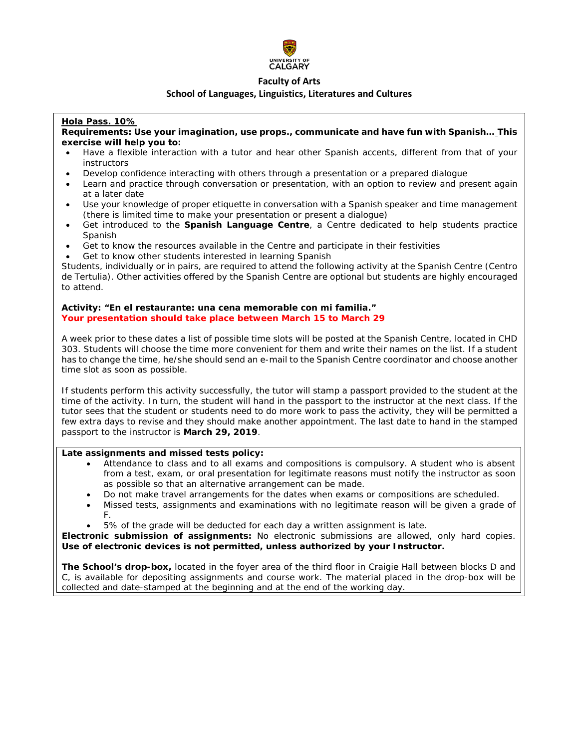

## **Faculty of Arts**

### **School of Languages, Linguistics, Literatures and Cultures**

### **Hola Pass. 10%**

**Requirements: Use your imagination, use props., communicate and have fun with Spanish… This exercise will help you to:**

- Have a flexible interaction with a tutor and hear other Spanish accents, different from that of your instructors
- Develop confidence interacting with others through a presentation or a prepared dialogue
- Learn and practice through conversation or presentation, with an option to review and present again at a later date
- Use your knowledge of proper etiquette in conversation with a Spanish speaker and time management (there is limited time to make your presentation or present a dialogue)
- Get introduced to the **Spanish Language Centre**, a Centre dedicated to help students practice Spanish
- Get to know the resources available in the Centre and participate in their festivities
- Get to know other students interested in learning Spanish

Students, individually or in pairs, are required to attend the following activity at the Spanish Centre (Centro de Tertulia). Other activities offered by the Spanish Centre are optional but students are highly encouraged to attend.

### **Activity: "En el restaurante: una cena memorable con mi familia." Your presentation should take place between March 15 to March 29**

A week prior to these dates a list of possible time slots will be posted at the Spanish Centre, located in CHD 303. Students will choose the time more convenient for them and write their names on the list. If a student has to change the time, he/she should send an e-mail to the Spanish Centre coordinator and choose another time slot as soon as possible.

If students perform this activity successfully, the tutor will stamp a passport provided to the student at the time of the activity. In turn, the student will hand in the passport to the instructor at the next class. If the tutor sees that the student or students need to do more work to pass the activity, they will be permitted a few extra days to revise and they should make another appointment. The last date to hand in the stamped passport to the instructor is **March 29, 2019**.

### **Late assignments and missed tests policy:**

- Attendance to class and to all exams and compositions is compulsory. A student who is absent from a test, exam, or oral presentation for legitimate reasons must notify the instructor as soon as possible so that an alternative arrangement can be made.
- Do not make travel arrangements for the dates when exams or compositions are scheduled.
- Missed tests, assignments and examinations with no legitimate reason will be given a grade of F.
- 5% of the grade will be deducted for each day a written assignment is late.

**Electronic submission of assignments:** No electronic submissions are allowed, only hard copies. **Use of electronic devices is not permitted, unless authorized by your Instructor.**

*The School's drop-box, located in the foyer area of the third floor in Craigie Hall between blocks D and C, is available for depositing assignments and course work. The material placed in the drop-box will be collected and date-stamped at the beginning and at the end of the working day.*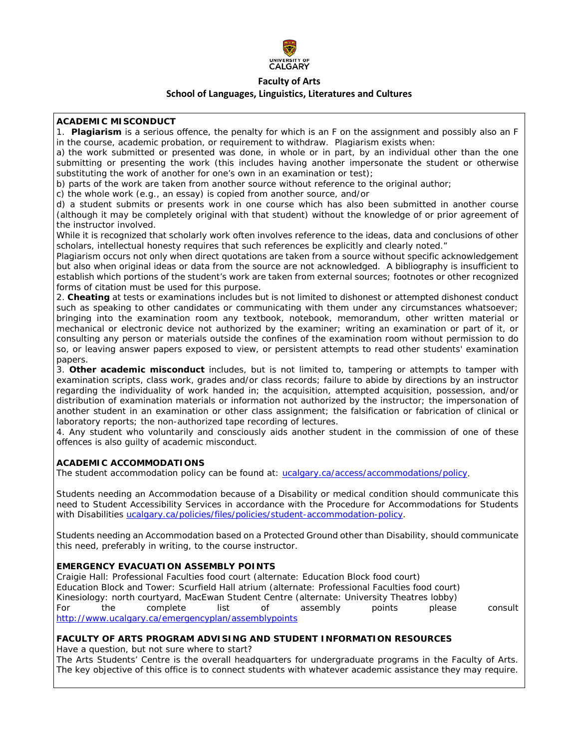

### **ACADEMIC MISCONDUCT**

1. **Plagiarism** is a serious offence, the penalty for which is an F on the assignment and possibly also an F in the course, academic probation, or requirement to withdraw. Plagiarism exists when:

a) the work submitted or presented was done, in whole or in part, by an individual other than the one submitting or presenting the work (this includes having another impersonate the student or otherwise substituting the work of another for one's own in an examination or test);

b) parts of the work are taken from another source without reference to the original author;

c) the whole work (e.g., an essay) is copied from another source, and/or

d) a student submits or presents work in one course which has also been submitted in another course (although it may be completely original with that student) without the knowledge of or prior agreement of the instructor involved.

While it is recognized that scholarly work often involves reference to the ideas, data and conclusions of other scholars, intellectual honesty requires that such references be explicitly and clearly noted."

Plagiarism occurs not only when direct quotations are taken from a source without specific acknowledgement but also when original ideas or data from the source are not acknowledged. A bibliography is insufficient to establish which portions of the student's work are taken from external sources; footnotes or other recognized forms of citation must be used for this purpose.

2. **Cheating** at tests or examinations includes but is not limited to dishonest or attempted dishonest conduct such as speaking to other candidates or communicating with them under any circumstances whatsoever; bringing into the examination room any textbook, notebook, memorandum, other written material or mechanical or electronic device not authorized by the examiner; writing an examination or part of it, or consulting any person or materials outside the confines of the examination room without permission to do so, or leaving answer papers exposed to view, or persistent attempts to read other students' examination papers.

3. **Other academic misconduct** includes, but is not limited to, tampering or attempts to tamper with examination scripts, class work, grades and/or class records; failure to abide by directions by an instructor regarding the individuality of work handed in; the acquisition, attempted acquisition, possession, and/or distribution of examination materials or information not authorized by the instructor; the impersonation of another student in an examination or other class assignment; the falsification or fabrication of clinical or laboratory reports; the non-authorized tape recording of lectures.

4. Any student who voluntarily and consciously aids another student in the commission of one of these offences is also guilty of academic misconduct.

### **ACADEMIC ACCOMMODATIONS**

The student accommodation policy can be found at: [ucalgary.ca/access/accommodations/policy.](http://www.ucalgary.ca/access/accommodations/policy)

Students needing an Accommodation because of a Disability or medical condition should communicate this need to Student Accessibility Services in accordance with the Procedure for Accommodations for Students with Disabilities [ucalgary.ca/policies/files/policies/student-accommodation-policy.](http://www.ucalgary.ca/policies/files/policies/student-accommodation-policy.pdf)

Students needing an Accommodation based on a Protected Ground other than Disability, should communicate this need, preferably in writing, to the course instructor.

### **EMERGENCY EVACUATION ASSEMBLY POINTS**

Craigie Hall: Professional Faculties food court (alternate: Education Block food court) Education Block and Tower: Scurfield Hall atrium (alternate: Professional Faculties food court) Kinesiology: north courtyard, MacEwan Student Centre (alternate: University Theatres lobby)<br>For the complete list of assembly points please For the complete list of assembly points please consult <http://www.ucalgary.ca/emergencyplan/assemblypoints>

# **FACULTY OF ARTS PROGRAM ADVISING AND STUDENT INFORMATION RESOURCES**

Have a question, but not sure where to start?

The Arts Students' Centre is the overall headquarters for undergraduate programs in the Faculty of Arts. The key objective of this office is to connect students with whatever academic assistance they may require.